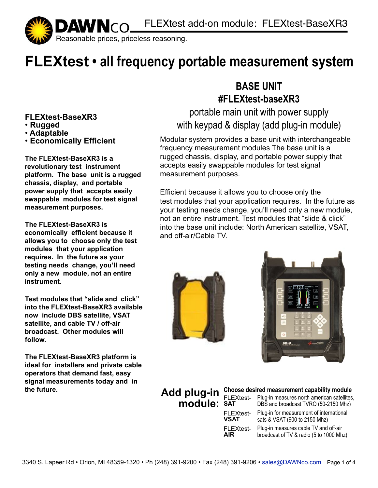

## **FLEXtest • all frequency portable measurement system**

#### **FLEXtest-BaseXR3**

- • **Rugged**
- • **Adaptable**
- • **Economically Efficient**

**The FLEXtest-BaseXR3 is a revolutionary test instrument platform. The base unit is a rugged chassis, display, and portable power supply that accepts easily swappable modules for test signal measurement purposes.**

**The FLEXtest-BaseXR3 is economically efficient because it allows you to choose only the test modules that your application requires. In the future as your testing needs change, you'll need only a new module, not an entire instrument.**

**Test modules that "slide and click" into the FLEXtest-BaseXR3 available now include DBS satellite, VSAT satellite, and cable TV / off-air broadcast. Other modules will follow.**

**The FLEXtest-BaseXR3 platform is ideal for installers and private cable operators that demand fast, easy signal measurements today and in the future.**

#### **BASE UNIT #FLEXtest-baseXR3**

portable main unit with power supply with keypad & display (add plug-in module)

Modular system provides a base unit with interchangeable frequency measurement modules The base unit is a rugged chassis, display, and portable power supply that accepts easily swappable modules for test signal measurement purposes.

Efficient because it allows you to choose only the test modules that your application requires. In the future as your testing needs change, you'll need only a new module, not an entire instrument. Test modules that "slide & click" into the base unit include: North American satellite, VSAT, and off-air/Cable TV.





#### Add plug-in Choose desired measurement capability module **module:** SAT FLEXtest- Plug-in measures north american satellites,<br>**module:** SAT DBS and broadcast TVRO (50-2150 Mhz) DBS and broadcast TVRO (50-2150 Mhz) Plug-in for measurement of international sats & VSAT (900 to 2150 Mhz) Plug-in measures cable TV and off-air broadcast of TV & radio (5 to 1000 Mhz) **module:** SAT FLEXtest-**VSAT** FLEXtest-**AIR**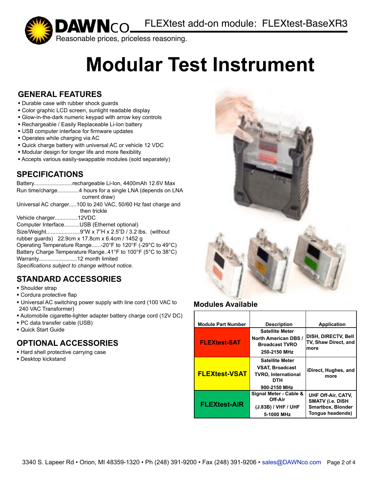

# **Modular Test Instrument**

#### **GENERAL FEATURES**

- ! Durable case with rubber shock guards
- ! Color graphic LCD screen, sunlight readable display
- ! Glow-in-the-dark numeric keypad with arrow key controls
- ! Rechargeable / Easily Replaceable Li-Ion battery
- **. USB computer interface for firmware updates**
- ! Operates while charging via AC
- ! Quick charge battery with universal AC or vehicle 12 VDC
- ! Modular design for longer life and more flexibility
- ! Accepts various easily-swappable modules (sold separately)

#### **SPECIFICATIONS**

#### **STANDARD ACCESSORIES**

- **· Shoulder strap**
- **Cordura protective flap**
- ! Universal AC switching power supply with line cord (100 VAC to 240 VAC Transformer)
- ! Automobile cigarette-lighter adapter battery charge cord (12V DC)
- ! PC data transfer cable (USB)
- **.** Quick Start Guide

#### **OPTIONAL ACCESSORIES**

- ! Hard shell protective carrying case
- **.** Desktop kickstand



#### **Modules Available**

| <b>Module Part Number</b> | <b>Description</b>                                                                                    | <b>Application</b>                                                                            |
|---------------------------|-------------------------------------------------------------------------------------------------------|-----------------------------------------------------------------------------------------------|
| <b>FLEXtest-SAT</b>       | <b>Satellite Meter</b><br><b>North American DBS /</b><br><b>Broadcast TVRO</b><br>250-2150 MHz        | <b>DISH, DIRECTV, Bell</b><br>TV, Shaw Direct, and<br>more                                    |
| <b>FLEXtest-VSAT</b>      | <b>Satellite Meter</b><br><b>VSAT, Broadcast</b><br><b>TVRO.</b> International<br>DTH<br>900-2150 MHz | iDirect, Hughes, and<br>more                                                                  |
| <b>FLEXtest-AIR</b>       | Signal Meter - Cable &<br>Off-Air<br>(J.83B) / VHF / UHF<br>5-1000 MHz                                | UHF Off-Air, CATV,<br><b>SMATV (i.e. DISH</b><br><b>Smartbox, Blonder</b><br>Tongue headends) |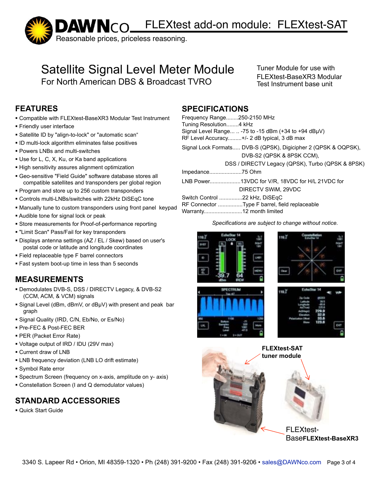DAWNCO\_FLEXtest add-on module: FLEXtest-SAT



#### Satellite Signal Level Meter Module For North American DBS & Broadcast TVRO

Tuner Module for use with FLEXtest-BaseXR3 Modular Test Instrument base unit

#### **FEATURES**

- ! Compatible with FLEXtest-BaseXR3 Modular Test Instrument
- **Example 1 Friendly user interface**
- ! Satellite ID by "align-to-lock" or "automatic scan"
- ! ID multi-lock algorithm eliminates false positives
- ! Powers LNBs and multi-switches
- ! Use for L, C, X, Ku, or Ka band applications
- **.** High sensitivity assures alignment optimization
- ! Geo-sensitive "Field Guide" software database stores all compatible satellites and transponders per global region
- ! Program and store up to 256 custom transponders
- ! Controls multi-LNBs/switches with 22kHz DiSEqC tone
- ! Manually tune to custom transponders using front panel keypad
- ! Audible tone for signal lock or peak
- ! Store measurements for Proof-of-performance reporting
- ! "Limit Scan" Pass/Fail for key transponders
- ! Displays antenna settings (AZ / EL / Skew) based on user's postal code or latitude and longitude coordinates
- ! Field replaceable type F barrel connectors
- ! Fast system boot-up time in less than 5 seconds

#### **MEASUREMENTS**

- ! Demodulates DVB-S, DSS / DIRECTV Legacy, & DVB-S2 (CCM, ACM, & VCM) signals
- ! Signal Level (dBm, dBmV, or dBµV) with present and peak bar graph
- ! Signal Quality (IRD, C/N, Eb/No, or Es/No)
- ! Pre-FEC & Post-FEC BER
- ! PER (Packet Error Rate)
- ! Voltage output of IRD / IDU (29V max)
- ! Current draw of LNB
- ! LNB frequency deviation (LNB LO drift estimate)
- ! Symbol Rate error
- ! Spectrum Screen (frequency on x-axis, amplitude on y- axis)
- ! Constellation Screen (I and Q demodulator values)

#### **STANDARD ACCESSORIES**

! Quick Start Guide

#### **SPECIFICATIONS**

| Frequency Range250-2150 MHz<br>Tuning Resolution4 kHz<br>RF Level Accuracy+/- 2 dB typical, 3 dB max | Signal Level Range $\ldots$ -75 to -15 dBm (+34 to +94 dBuV)                                |
|------------------------------------------------------------------------------------------------------|---------------------------------------------------------------------------------------------|
|                                                                                                      | Signal Lock Formats DVB-S (QPSK), Digicipher 2 (QPSK & OQPSK),<br>DVB-S2 (QPSK & 8PSK CCM), |
|                                                                                                      | DSS / DIRECTV Legacy (QPSK), Turbo (QPSK & 8PSK)                                            |
| Impedance75 Ohm                                                                                      |                                                                                             |
|                                                                                                      | LNB Power13VDC for V/R, 18VDC for H/L 21VDC for                                             |
|                                                                                                      | DIRECTV SWIM, 29VDC                                                                         |
| Switch Control 22 kHz, DiSEqC                                                                        |                                                                                             |
| RF Connector Type F barrel, field replaceable                                                        |                                                                                             |
| Warranty12 month limited                                                                             |                                                                                             |

*Specifications are subject to change without notice.* 

110 Z











Base**FLEXtest-BaseXR3**